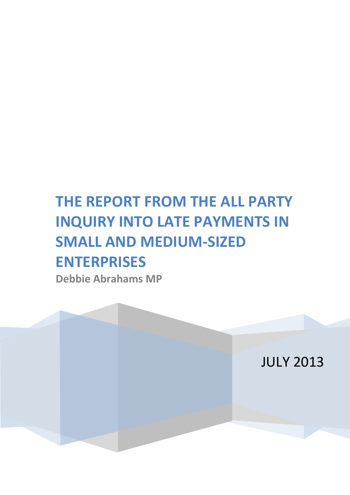# **THE REPORT FROM THE ALL PARTY INQUIRY INTO LATE PAYMENTS IN SMALL AND MEDIUM-SIZED ENTERPRISES**

**Debbie Abrahams MP**

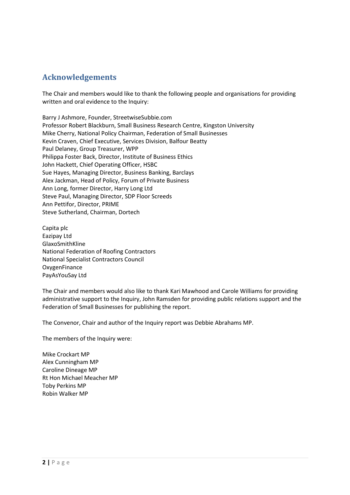# <span id="page-1-0"></span>**Acknowledgements**

The Chair and members would like to thank the following people and organisations for providing written and oral evidence to the Inquiry:

Barry J Ashmore, Founder, StreetwiseSubbie.com Professor Robert Blackburn, Small Business Research Centre, Kingston University Mike Cherry, National Policy Chairman, Federation of Small Businesses Kevin Craven, Chief Executive, Services Division, Balfour Beatty Paul Delaney, Group Treasurer, WPP Philippa Foster Back, Director, Institute of Business Ethics John Hackett, Chief Operating Officer, HSBC Sue Hayes, Managing Director, Business Banking, Barclays Alex Jackman, Head of Policy, Forum of Private Business Ann Long, former Director, Harry Long Ltd Steve Paul, Managing Director, SDP Floor Screeds Ann Pettifor, Director, PRIME Steve Sutherland, Chairman, Dortech

Capita plc Eazipay Ltd GlaxoSmithKline National Federation of Roofing Contractors National Specialist Contractors Council OxygenFinance PayAsYouSay Ltd

The Chair and members would also like to thank Kari Mawhood and Carole Williams for providing administrative support to the Inquiry, John Ramsden for providing public relations support and the Federation of Small Businesses for publishing the report.

The Convenor, Chair and author of the Inquiry report was Debbie Abrahams MP.

The members of the Inquiry were:

Mike Crockart MP Alex Cunningham MP Caroline Dineage MP Rt Hon Michael Meacher MP Toby Perkins MP Robin Walker MP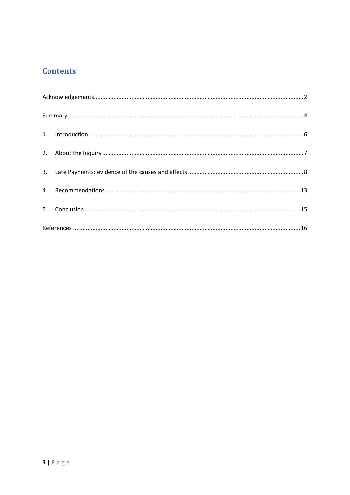# **Contents**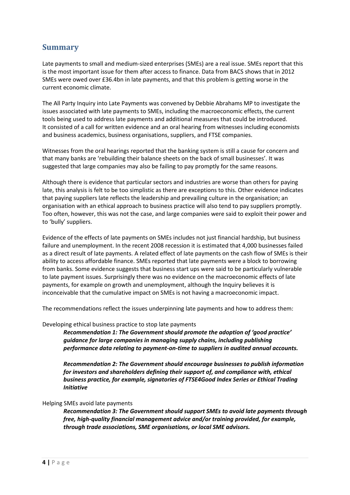# <span id="page-3-0"></span>**Summary**

Late payments to small and medium-sized enterprises (SMEs) are a real issue. SMEs report that this is the most important issue for them after access to finance. Data from BACS shows that in 2012 SMEs were owed over £36.4bn in late payments, and that this problem is getting worse in the current economic climate.

The All Party Inquiry into Late Payments was convened by Debbie Abrahams MP to investigate the issues associated with late payments to SMEs, including the macroeconomic effects, the current tools being used to address late payments and additional measures that could be introduced. It consisted of a call for written evidence and an oral hearing from witnesses including economists and business academics, business organisations, suppliers, and FTSE companies.

Witnesses from the oral hearings reported that the banking system is still a cause for concern and that many banks are 'rebuilding their balance sheets on the back of small businesses'. It was suggested that large companies may also be failing to pay promptly for the same reasons.

Although there is evidence that particular sectors and industries are worse than others for paying late, this analysis is felt to be too simplistic as there are exceptions to this. Other evidence indicates that paying suppliers late reflects the leadership and prevailing culture in the organisation; an organisation with an ethical approach to business practice will also tend to pay suppliers promptly. Too often, however, this was not the case, and large companies were said to exploit their power and to 'bully' suppliers.

Evidence of the effects of late payments on SMEs includes not just financial hardship, but business failure and unemployment. In the recent 2008 recession it is estimated that 4,000 businesses failed as a direct result of late payments. A related effect of late payments on the cash flow of SMEs is their ability to access affordable finance. SMEs reported that late payments were a block to borrowing from banks. Some evidence suggests that business start ups were said to be particularly vulnerable to late payment issues. Surprisingly there was no evidence on the macroeconomic effects of late payments, for example on growth and unemployment, although the Inquiry believes it is inconceivable that the cumulative impact on SMEs is not having a macroeconomic impact.

The recommendations reflect the issues underpinning late payments and how to address them:

### Developing ethical business practice to stop late payments

*Recommendation 1: The Government should promote the adoption of 'good practice' guidance for large companies in managing supply chains, including publishing performance data relating to payment-on-time to suppliers in audited annual accounts.*

*Recommendation 2: The Government should encourage businesses to publish information for investors and shareholders defining their support of, and compliance with, ethical business practice, for example, signatories of FTSE4Good Index Series or Ethical Trading Initiative*

### Helping SMEs avoid late payments

*Recommendation 3: The Government should support SMEs to avoid late payments through free, high-quality financial management advice and/or training provided, for example, through trade associations, SME organisations, or local SME advisors.*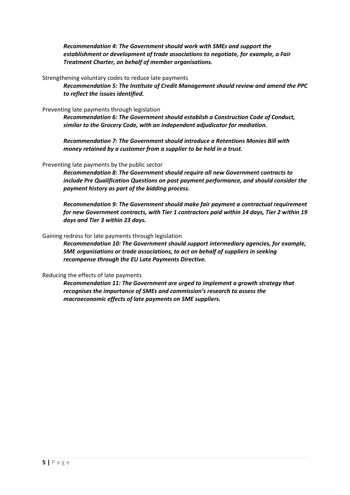*Recommendation 4: The Government should work with SMEs and support the establishment or development of trade associations to negotiate, for example, a Fair Treatment Charter, on behalf of member organisations.*

Strengthening voluntary codes to reduce late payments

*Recommendation 5: The Institute of Credit Management should review and amend the PPC to reflect the issues identified.* 

Preventing late payments through legislation

*Recommendation 6: The Government should establish a Construction Code of Conduct, similar to the Grocery Code, with an independent adjudicator for mediation.*

*Recommendation 7: The Government should introduce a Retentions Monies Bill with money retained by a customer from a supplier to be held in a trust.*

#### Preventing late payments by the public sector

*Recommendation 8: The Government should require all new Government contracts to include Pre Qualification Questions on past payment performance, and should consider the payment history as part of the bidding process.*

*Recommendation 9: The Government should make fair payment a contractual requirement for new Government contracts, with Tier 1 contractors paid within 14 days, Tier 2 within 19 days and Tier 3 within 23 days.* 

#### Gaining redress for late payments through legislation

*Recommendation 10: The Government should support intermediary agencies, for example, SME organisations or trade associations, to act on behalf of suppliers in seeking recompense through the EU Late Payments Directive.*

#### Reducing the effects of late payments

*Recommendation 11: The Government are urged to implement a growth strategy that recognises the importance of SMEs and commission's research to assess the macroeconomic effects of late payments on SME suppliers.*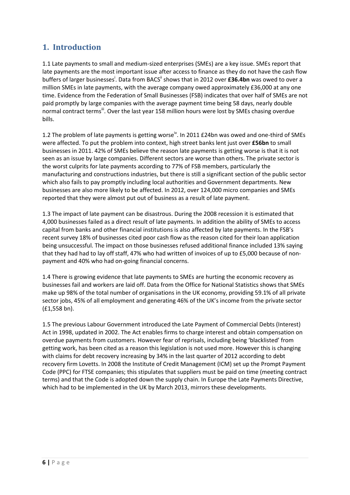# <span id="page-5-0"></span>**1. Introduction**

1.1 Late payments to small and medium-sized enterprises (SMEs) are a key issue. SMEs report that late payments are the most important issue after access to finance as they do not have the cash flow buffers of larger businesses<sup>i</sup>. Data from BACS<sup>ii</sup> shows that in 2012 over £36.4bn was owed to over a million SMEs in late payments, with the average company owed approximately £36,000 at any one time. Evidence from the Federation of Small Businesses (FSB) indicates that over half of SMEs are not paid promptly by large companies with the average payment time being 58 days, nearly double normal contract terms<sup>iii</sup>. Over the last year 158 million hours were lost by SMEs chasing overdue bills.

1.2 The problem of late payments is getting worse<sup>iv</sup>. In 2011 £24bn was owed and one-third of SMEs were affected. To put the problem into context, high street banks lent just over **£56bn** to small businesses in 2011. 42% of SMEs believe the reason late payments is getting worse is that it is not seen as an issue by large companies. Different sectors are worse than others. The private sector is the worst culprits for late payments according to 77% of FSB members, particularly the manufacturing and constructions industries, but there is still a significant section of the public sector which also fails to pay promptly including local authorities and Government departments. New businesses are also more likely to be affected. In 2012, over 124,000 micro companies and SMEs reported that they were almost put out of business as a result of late payment.

1.3 The impact of late payment can be disastrous. During the 2008 recession it is estimated that 4,000 businesses failed as a direct result of late payments. In addition the ability of SMEs to access capital from banks and other financial institutions is also affected by late payments. In the FSB's recent survey 18% of businesses cited poor cash flow as the reason cited for their loan application being unsuccessful. The impact on those businesses refused additional finance included 13% saying that they had had to lay off staff, 47% who had written of invoices of up to £5,000 because of nonpayment and 40% who had on-going financial concerns.

1.4 There is growing evidence that late payments to SMEs are hurting the economic recovery as businesses fail and workers are laid off. Data from the Office for National Statistics shows that SMEs make up 98% of the total number of organisations in the UK economy, providing 59.1% of all private sector jobs, 45% of all employment and generating 46% of the UK's income from the private sector (£1,558 bn).

1.5 The previous Labour Government introduced the Late Payment of Commercial Debts (Interest) Act in 1998, updated in 2002. The Act enables firms to charge interest and obtain compensation on overdue payments from customers. However fear of reprisals, including being 'blacklisted' from getting work, has been cited as a reason this legislation is not used more. However this is changing with claims for debt recovery increasing by 34% in the last quarter of 2012 according to debt recovery firm Lovetts. In 2008 the Institute of Credit Management (ICM) set up the Prompt Payment Code (PPC) for FTSE companies; this stipulates that suppliers must be paid on time (meeting contract terms) and that the Code is adopted down the supply chain. In Europe the Late Payments Directive, which had to be implemented in the UK by March 2013, mirrors these developments.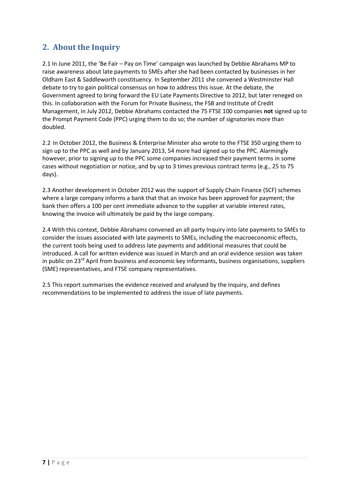# <span id="page-6-0"></span>**2. About the Inquiry**

2.1 In June 2011, the 'Be Fair – Pay on Time' campaign was launched by Debbie Abrahams MP to raise awareness about late payments to SMEs after she had been contacted by businesses in her Oldham East & Saddleworth constituency. In September 2011 she convened a Westminster Hall debate to try to gain political consensus on how to address this issue. At the debate, the Government agreed to bring forward the EU Late Payments Directive to 2012, but later reneged on this. In collaboration with the Forum for Private Business, the FSB and Institute of Credit Management, in July 2012, Debbie Abrahams contacted the 75 FTSE 100 companies **not** signed up to the Prompt Payment Code (PPC) urging them to do so; the number of signatories more than doubled.

2.2 In October 2012, the Business & Enterprise Minister also wrote to the FTSE 350 urging them to sign up to the PPC as well and by January 2013, 54 more had signed up to the PPC. Alarmingly however, prior to signing up to the PPC some companies increased their payment terms in some cases without negotiation or notice, and by up to 3 times previous contract terms (e.g., 25 to 75 days).

2.3 Another development in October 2012 was the support of Supply Chain Finance (SCF) schemes where a large company informs a bank that that an invoice has been approved for payment; the bank then offers a 100 per cent immediate advance to the supplier at variable interest rates, knowing the invoice will ultimately be paid by the large company.

2.4 With this context, Debbie Abrahams convened an all party Inquiry into late payments to SMEs to consider the issues associated with late payments to SMEs, including the macroeconomic effects, the current tools being used to address late payments and additional measures that could be introduced. A call for written evidence was issued in March and an oral evidence session was taken in public on  $23^{\text{rd}}$  April from business and economic key informants, business organisations, suppliers (SME) representatives, and FTSE company representatives.

2.5 This report summarises the evidence received and analysed by the Inquiry, and defines recommendations to be implemented to address the issue of late payments.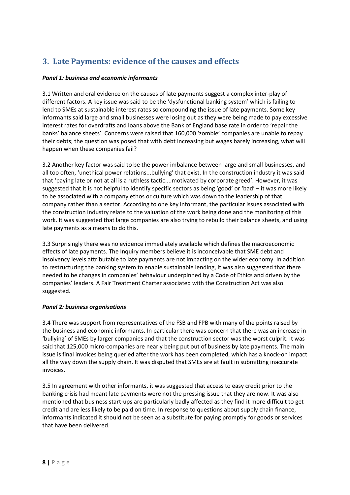# <span id="page-7-0"></span>**3. Late Payments: evidence of the causes and effects**

## *Panel 1: business and economic informants*

3.1 Written and oral evidence on the causes of late payments suggest a complex inter-play of different factors. A key issue was said to be the 'dysfunctional banking system' which is failing to lend to SMEs at sustainable interest rates so compounding the issue of late payments. Some key informants said large and small businesses were losing out as they were being made to pay excessive interest rates for overdrafts and loans above the Bank of England base rate in order to 'repair the banks' balance sheets'. Concerns were raised that 160,000 'zombie' companies are unable to repay their debts; the question was posed that with debt increasing but wages barely increasing, what will happen when these companies fail?

3.2 Another key factor was said to be the power imbalance between large and small businesses, and all too often, 'unethical power relations...bullying' that exist. In the construction industry it was said that 'paying late or not at all is a ruthless tactic....motivated by corporate greed'. However, it was suggested that it is not helpful to identify specific sectors as being 'good' or 'bad' – it was more likely to be associated with a company ethos or culture which was down to the leadership of that company rather than a sector. According to one key informant, the particular issues associated with the construction industry relate to the valuation of the work being done and the monitoring of this work. It was suggested that large companies are also trying to rebuild their balance sheets, and using late payments as a means to do this.

3.3 Surprisingly there was no evidence immediately available which defines the macroeconomic effects of late payments. The Inquiry members believe it is inconceivable that SME debt and insolvency levels attributable to late payments are not impacting on the wider economy. In addition to restructuring the banking system to enable sustainable lending, it was also suggested that there needed to be changes in companies' behaviour underpinned by a Code of Ethics and driven by the companies' leaders. A Fair Treatment Charter associated with the Construction Act was also suggested.

# *Panel 2: business organisations*

3.4 There was support from representatives of the FSB and FPB with many of the points raised by the business and economic informants. In particular there was concern that there was an increase in 'bullying' of SMEs by larger companies and that the construction sector was the worst culprit. It was said that 125,000 micro-companies are nearly being put out of business by late payments. The main issue is final invoices being queried after the work has been completed, which has a knock-on impact all the way down the supply chain. It was disputed that SMEs are at fault in submitting inaccurate invoices.

3.5 In agreement with other informants, it was suggested that access to easy credit prior to the banking crisis had meant late payments were not the pressing issue that they are now. It was also mentioned that business start-ups are particularly badly affected as they find it more difficult to get credit and are less likely to be paid on time. In response to questions about supply chain finance, informants indicated it should not be seen as a substitute for paying promptly for goods or services that have been delivered.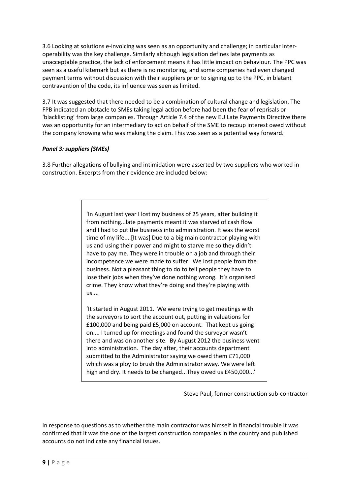3.6 Looking at solutions e-invoicing was seen as an opportunity and challenge; in particular interoperability was the key challenge. Similarly although legislation defines late payments as unacceptable practice, the lack of enforcement means it has little impact on behaviour. The PPC was seen as a useful kitemark but as there is no monitoring, and some companies had even changed payment terms without discussion with their suppliers prior to signing up to the PPC, in blatant contravention of the code, its influence was seen as limited.

3.7 It was suggested that there needed to be a combination of cultural change and legislation. The FPB indicated an obstacle to SMEs taking legal action before had been the fear of reprisals or 'blacklisting' from large companies. Through Article 7.4 of the new EU Late Payments Directive there was an opportunity for an intermediary to act on behalf of the SME to recoup interest owed without the company knowing who was making the claim. This was seen as a potential way forward.

## *Panel 3: suppliers (SMEs)*

3.8 Further allegations of bullying and intimidation were asserted by two suppliers who worked in construction. Excerpts from their evidence are included below:

> 'In August last year I lost my business of 25 years, after building it from nothing...late payments meant it was starved of cash flow and I had to put the business into administration. It was the worst time of my life....[It was] Due to a big main contractor playing with us and using their power and might to starve me so they didn't have to pay me. They were in trouble on a job and through their incompetence we were made to suffer. We lost people from the business. Not a pleasant thing to do to tell people they have to lose their jobs when they've done nothing wrong. It's organised crime. They know what they're doing and they're playing with us....

> 'It started in August 2011. We were trying to get meetings with the surveyors to sort the account out, putting in valuations for £100,000 and being paid £5,000 on account. That kept us going on.... I turned up for meetings and found the surveyor wasn't there and was on another site. By August 2012 the business went into administration. The day after, their accounts department submitted to the Administrator saying we owed them £71,000 which was a ploy to brush the Administrator away. We were left high and dry. It needs to be changed...They owed us £450,000...'

> > Steve Paul, former construction sub-contractor

In response to questions as to whether the main contractor was himself in financial trouble it was confirmed that it was the one of the largest construction companies in the country and published accounts do not indicate any financial issues.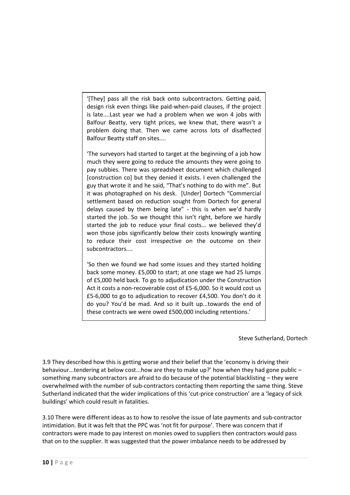'[They] pass all the risk back onto subcontractors. Getting paid, design risk even things like paid-when-paid clauses, if the project is late....Last year we had a problem when we won 4 jobs with Balfour Beatty, very tight prices, we knew that, there wasn't a problem doing that. Then we came across lots of disaffected Balfour Beatty staff on sites....

'The surveyors had started to target at the beginning of a job how much they were going to reduce the amounts they were going to pay subbies. There was spreadsheet document which challenged [construction co] but they denied it exists. I even challenged the guy that wrote it and he said, "That's nothing to do with me". But it was photographed on his desk. [Under] Dortech "Commercial settlement based on reduction sought from Dortech for general delays caused by them being late" - this is when we'd hardly started the job. So we thought this isn't right, before we hardly started the job to reduce your final costs... we believed they'd won those jobs significantly below their costs knowingly wanting to reduce their cost irrespective on the outcome on their subcontractors....

'So then we found we had some issues and they started holding back some money. £5,000 to start; at one stage we had 25 lumps of £5,000 held back. To go to adjudication under the Construction Act it costs a non-recoverable cost of £5-6,000. So it would cost us £5-6,000 to go to adjudication to recover £4,500. You don't do it do you? You'd be mad. And so it built up...towards the end of these contracts we were owed £500,000 including retentions.'

Steve Sutherland, Dortech

3.9 They described how this is getting worse and their belief that the 'economy is driving their behaviour...tendering at below cost...how are they to make up?' how when they had gone public – something many subcontractors are afraid to do because of the potential blacklisting – they were overwhelmed with the number of sub-contractors contacting them reporting the same thing. Steve Sutherland indicated that the wider implications of this 'cut-price construction' are a 'legacy of sick buildings' which could result in fatalities.

3.10 There were different ideas as to how to resolve the issue of late payments and sub-contractor intimidation. But it was felt that the PPC was 'not fit for purpose'. There was concern that if contractors were made to pay interest on monies owed to suppliers then contractors would pass that on to the supplier. It was suggested that the power imbalance needs to be addressed by

 $\overline{a}$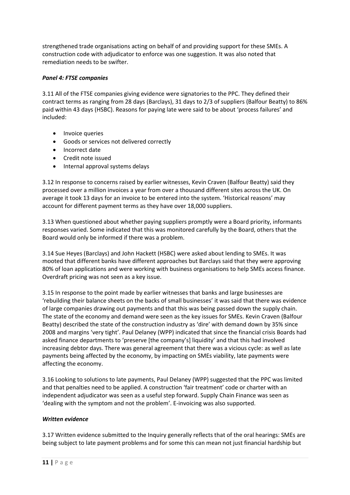strengthened trade organisations acting on behalf of and providing support for these SMEs. A construction code with adjudicator to enforce was one suggestion. It was also noted that remediation needs to be swifter.

## *Panel 4: FTSE companies*

3.11 All of the FTSE companies giving evidence were signatories to the PPC. They defined their contract terms as ranging from 28 days (Barclays), 31 days to 2/3 of suppliers (Balfour Beatty) to 86% paid within 43 days (HSBC). Reasons for paying late were said to be about 'process failures' and included:

- Invoice queries
- Goods or services not delivered correctly
- Incorrect date
- Credit note issued
- Internal approval systems delays

3.12 In response to concerns raised by earlier witnesses, Kevin Craven (Balfour Beatty) said they processed over a million invoices a year from over a thousand different sites across the UK. On average it took 13 days for an invoice to be entered into the system. 'Historical reasons' may account for different payment terms as they have over 18,000 suppliers.

3.13 When questioned about whether paying suppliers promptly were a Board priority, informants responses varied. Some indicated that this was monitored carefully by the Board, others that the Board would only be informed if there was a problem.

3.14 Sue Heyes (Barclays) and John Hackett (HSBC) were asked about lending to SMEs. It was mooted that different banks have different approaches but Barclays said that they were approving 80% of loan applications and were working with business organisations to help SMEs access finance. Overdraft pricing was not seen as a key issue.

3.15 In response to the point made by earlier witnesses that banks and large businesses are 'rebuilding their balance sheets on the backs of small businesses' it was said that there was evidence of large companies drawing out payments and that this was being passed down the supply chain. The state of the economy and demand were seen as the key issues for SMEs. Kevin Craven (Balfour Beatty) described the state of the construction industry as 'dire' with demand down by 35% since 2008 and margins 'very tight'. Paul Delaney (WPP) indicated that since the financial crisis Boards had asked finance departments to 'preserve [the company's] liquidity' and that this had involved increasing debtor days. There was general agreement that there was a vicious cycle: as well as late payments being affected by the economy, by impacting on SMEs viability, late payments were affecting the economy.

3.16 Looking to solutions to late payments, Paul Delaney (WPP) suggested that the PPC was limited and that penalties need to be applied. A construction 'fair treatment' code or charter with an independent adjudicator was seen as a useful step forward. Supply Chain Finance was seen as 'dealing with the symptom and not the problem'. E-invoicing was also supported.

## *Written evidence*

3.17 Written evidence submitted to the Inquiry generally reflects that of the oral hearings: SMEs are being subject to late payment problems and for some this can mean not just financial hardship but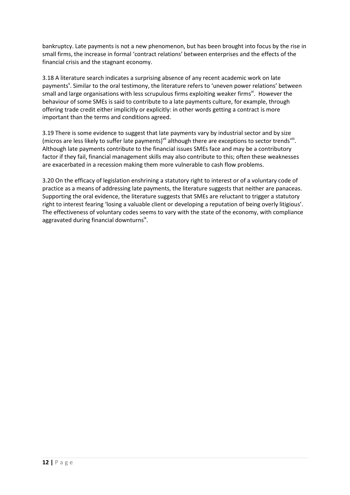bankruptcy. Late payments is not a new phenomenon, but has been brought into focus by the rise in small firms, the increase in formal 'contract relations' between enterprises and the effects of the financial crisis and the stagnant economy.

3.18 A literature search indicates a surprising absence of any recent academic work on late payments<sup>v</sup>. Similar to the oral testimony, the literature refers to 'uneven power relations' between small and large organisations with less scrupulous firms exploiting weaker firms<sup>vi</sup>. However the behaviour of some SMEs is said to contribute to a late payments culture, for example, through offering trade credit either implicitly or explicitly: in other words getting a contract is more important than the terms and conditions agreed.

3.19 There is some evidence to suggest that late payments vary by industrial sector and by size (micros are less likely to suffer late payments)<sup>vii</sup> although there are exceptions to sector trends<sup>viii</sup>. Although late payments contribute to the financial issues SMEs face and may be a contributory factor if they fail, financial management skills may also contribute to this; often these weaknesses are exacerbated in a recession making them more vulnerable to cash flow problems.

3.20 On the efficacy of legislation enshrining a statutory right to interest or of a voluntary code of practice as a means of addressing late payments, the literature suggests that neither are panaceas. Supporting the oral evidence, the literature suggests that SMEs are reluctant to trigger a statutory right to interest fearing 'losing a valuable client or developing a reputation of being overly litigious'. The effectiveness of voluntary codes seems to vary with the state of the economy, with compliance aggravated during financial downturns<sup>ix</sup>.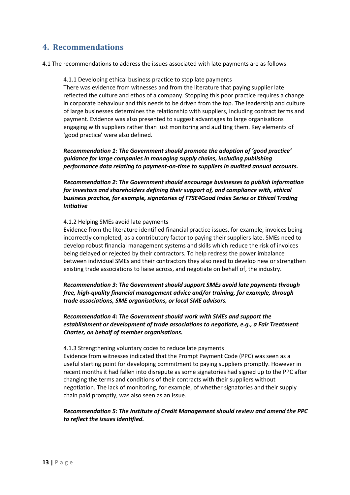# <span id="page-12-0"></span>**4. Recommendations**

4.1 The recommendations to address the issues associated with late payments are as follows:

4.1.1 Developing ethical business practice to stop late payments

There was evidence from witnesses and from the literature that paying supplier late reflected the culture and ethos of a company. Stopping this poor practice requires a change in corporate behaviour and this needs to be driven from the top. The leadership and culture of large businesses determines the relationship with suppliers, including contract terms and payment. Evidence was also presented to suggest advantages to large organisations engaging with suppliers rather than just monitoring and auditing them. Key elements of 'good practice' were also defined.

*Recommendation 1: The Government should promote the adoption of 'good practice' guidance for large companies in managing supply chains, including publishing performance data relating to payment-on-time to suppliers in audited annual accounts.*

*Recommendation 2: The Government should encourage businesses to publish information for investors and shareholders defining their support of, and compliance with, ethical business practice, for example, signatories of FTSE4Good Index Series or Ethical Trading Initiative*

### 4.1.2 Helping SMEs avoid late payments

Evidence from the literature identified financial practice issues, for example, invoices being incorrectly completed, as a contributory factor to paying their suppliers late. SMEs need to develop robust financial management systems and skills which reduce the risk of invoices being delayed or rejected by their contractors. To help redress the power imbalance between individual SMEs and their contractors they also need to develop new or strengthen existing trade associations to liaise across, and negotiate on behalf of, the industry.

*Recommendation 3: The Government should support SMEs avoid late payments through free, high-quality financial management advice and/or training, for example, through trade associations, SME organisations, or local SME advisors.*

*Recommendation 4: The Government should work with SMEs and support the establishment or development of trade associations to negotiate, e.g., a Fair Treatment Charter, on behalf of member organisations.*

4.1.3 Strengthening voluntary codes to reduce late payments Evidence from witnesses indicated that the Prompt Payment Code (PPC) was seen as a useful starting point for developing commitment to paying suppliers promptly. However in recent months it had fallen into disrepute as some signatories had signed up to the PPC after changing the terms and conditions of their contracts with their suppliers without negotiation. The lack of monitoring, for example, of whether signatories and their supply chain paid promptly, was also seen as an issue.

## *Recommendation 5: The Institute of Credit Management should review and amend the PPC to reflect the issues identified.*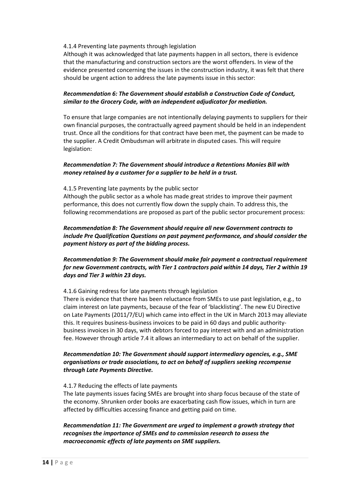### 4.1.4 Preventing late payments through legislation

Although it was acknowledged that late payments happen in all sectors, there is evidence that the manufacturing and construction sectors are the worst offenders. In view of the evidence presented concerning the issues in the construction industry, it was felt that there should be urgent action to address the late payments issue in this sector:

## *Recommendation 6: The Government should establish a Construction Code of Conduct, similar to the Grocery Code, with an independent adjudicator for mediation.*

To ensure that large companies are not intentionally delaying payments to suppliers for their own financial purposes, the contractually agreed payment should be held in an independent trust. Once all the conditions for that contract have been met, the payment can be made to the supplier. A Credit Ombudsman will arbitrate in disputed cases. This will require legislation:

## *Recommendation 7: The Government should introduce a Retentions Monies Bill with money retained by a customer for a supplier to be held in a trust.*

### 4.1.5 Preventing late payments by the public sector

Although the public sector as a whole has made great strides to improve their payment performance, this does not currently flow down the supply chain. To address this, the following recommendations are proposed as part of the public sector procurement process:

## *Recommendation 8: The Government should require all new Government contracts to include Pre Qualification Questions on past payment performance, and should consider the payment history as part of the bidding process.*

## *Recommendation 9: The Government should make fair payment a contractual requirement for new Government contracts, with Tier 1 contractors paid within 14 days, Tier 2 within 19 days and Tier 3 within 23 days.*

### 4.1.6 Gaining redress for late payments through legislation

There is evidence that there has been reluctance from SMEs to use past legislation, e.g., to claim interest on late payments, because of the fear of 'blacklisting'. The new EU Directive on Late Payments (2011/7/EU) which came into effect in the UK in March 2013 may alleviate this. It requires business-business invoices to be paid in 60 days and public authoritybusiness invoices in 30 days, with debtors forced to pay interest with and an administration fee. However through article 7.4 it allows an intermediary to act on behalf of the supplier.

## *Recommendation 10: The Government should support intermediary agencies, e.g., SME organisations or trade associations, to act on behalf of suppliers seeking recompense through Late Payments Directive.*

### 4.1.7 Reducing the effects of late payments

The late payments issues facing SMEs are brought into sharp focus because of the state of the economy. Shrunken order books are exacerbating cash flow issues, which in turn are affected by difficulties accessing finance and getting paid on time.

*Recommendation 11: The Government are urged to implement a growth strategy that recognises the importance of SMEs and to commission research to assess the macroeconomic effects of late payments on SME suppliers.*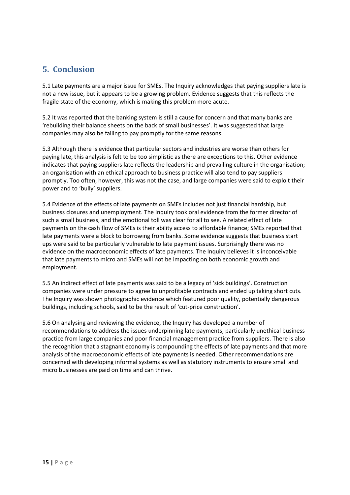# <span id="page-14-0"></span>**5. Conclusion**

5.1 Late payments are a major issue for SMEs. The Inquiry acknowledges that paying suppliers late is not a new issue, but it appears to be a growing problem. Evidence suggests that this reflects the fragile state of the economy, which is making this problem more acute.

5.2 It was reported that the banking system is still a cause for concern and that many banks are 'rebuilding their balance sheets on the back of small businesses'. It was suggested that large companies may also be failing to pay promptly for the same reasons.

5.3 Although there is evidence that particular sectors and industries are worse than others for paying late, this analysis is felt to be too simplistic as there are exceptions to this. Other evidence indicates that paying suppliers late reflects the leadership and prevailing culture in the organisation; an organisation with an ethical approach to business practice will also tend to pay suppliers promptly. Too often, however, this was not the case, and large companies were said to exploit their power and to 'bully' suppliers.

5.4 Evidence of the effects of late payments on SMEs includes not just financial hardship, but business closures and unemployment. The Inquiry took oral evidence from the former director of such a small business, and the emotional toll was clear for all to see. A related effect of late payments on the cash flow of SMEs is their ability access to affordable finance; SMEs reported that late payments were a block to borrowing from banks. Some evidence suggests that business start ups were said to be particularly vulnerable to late payment issues. Surprisingly there was no evidence on the macroeconomic effects of late payments. The Inquiry believes it is inconceivable that late payments to micro and SMEs will not be impacting on both economic growth and employment.

5.5 An indirect effect of late payments was said to be a legacy of 'sick buildings'. Construction companies were under pressure to agree to unprofitable contracts and ended up taking short cuts. The Inquiry was shown photographic evidence which featured poor quality, potentially dangerous buildings, including schools, said to be the result of 'cut-price construction'.

5.6 On analysing and reviewing the evidence, the Inquiry has developed a number of recommendations to address the issues underpinning late payments, particularly unethical business practice from large companies and poor financial management practice from suppliers. There is also the recognition that a stagnant economy is compounding the effects of late payments and that more analysis of the macroeconomic effects of late payments is needed. Other recommendations are concerned with developing informal systems as well as statutory instruments to ensure small and micro businesses are paid on time and can thrive.